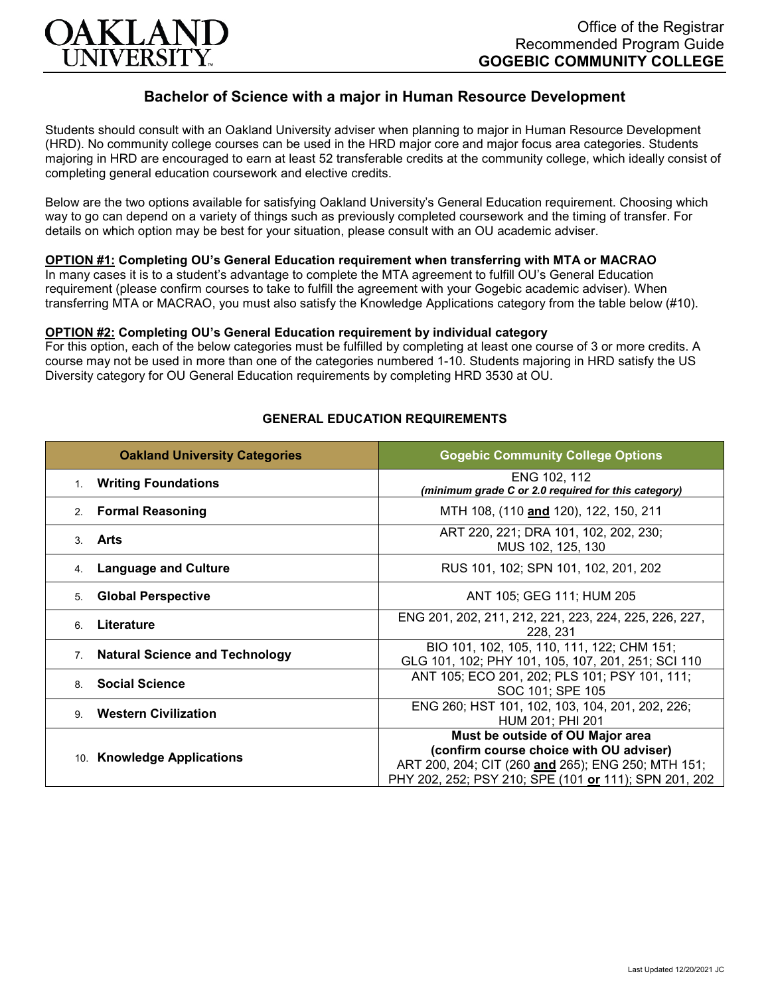

# **Bachelor of Science with a major in Human Resource Development**

Students should consult with an Oakland University adviser when planning to major in Human Resource Development (HRD). No community college courses can be used in the HRD major core and major focus area categories. Students majoring in HRD are encouraged to earn at least 52 transferable credits at the community college, which ideally consist of completing general education coursework and elective credits.

Below are the two options available for satisfying Oakland University's General Education requirement. Choosing which way to go can depend on a variety of things such as previously completed coursework and the timing of transfer. For details on which option may be best for your situation, please consult with an OU academic adviser.

## **OPTION #1: Completing OU's General Education requirement when transferring with MTA or MACRAO**

In many cases it is to a student's advantage to complete the MTA agreement to fulfill OU's General Education requirement (please confirm courses to take to fulfill the agreement with your Gogebic academic adviser). When transferring MTA or MACRAO, you must also satisfy the Knowledge Applications category from the table below (#10).

#### **OPTION #2: Completing OU's General Education requirement by individual category**

For this option, each of the below categories must be fulfilled by completing at least one course of 3 or more credits. A course may not be used in more than one of the categories numbered 1-10. Students majoring in HRD satisfy the US Diversity category for OU General Education requirements by completing HRD 3530 at OU.

| <b>Oakland University Categories</b>                    | <b>Gogebic Community College Options</b>                                                                                                               |
|---------------------------------------------------------|--------------------------------------------------------------------------------------------------------------------------------------------------------|
| 1. Writing Foundations                                  | ENG 102, 112<br>(minimum grade C or 2.0 required for this category)                                                                                    |
| 2. Formal Reasoning                                     | MTH 108, (110 and 120), 122, 150, 211                                                                                                                  |
| 3. <b>Arts</b>                                          | ART 220, 221; DRA 101, 102, 202, 230;<br>MUS 102, 125, 130                                                                                             |
| <b>Language and Culture</b><br>4.                       | RUS 101, 102; SPN 101, 102, 201, 202                                                                                                                   |
| <b>Global Perspective</b><br>5.                         | ANT 105; GEG 111; HUM 205                                                                                                                              |
| Literature<br>6                                         | ENG 201, 202, 211, 212, 221, 223, 224, 225, 226, 227,<br>228, 231                                                                                      |
| <b>Natural Science and Technology</b><br>7 <sup>1</sup> | BIO 101, 102, 105, 110, 111, 122; CHM 151;<br>GLG 101, 102; PHY 101, 105, 107, 201, 251; SCI 110                                                       |
| 8. Social Science                                       | ANT 105; ECO 201, 202; PLS 101; PSY 101, 111;<br>SOC 101; SPE 105                                                                                      |
| <b>Western Civilization</b><br>9                        | ENG 260; HST 101, 102, 103, 104, 201, 202, 226;<br>HUM 201; PHI 201                                                                                    |
| 10. Knowledge Applications                              | Must be outside of OU Major area                                                                                                                       |
|                                                         | (confirm course choice with OU adviser)<br>ART 200, 204; CIT (260 and 265); ENG 250; MTH 151;<br>PHY 202, 252; PSY 210; SPE (101 or 111); SPN 201, 202 |

## **GENERAL EDUCATION REQUIREMENTS**